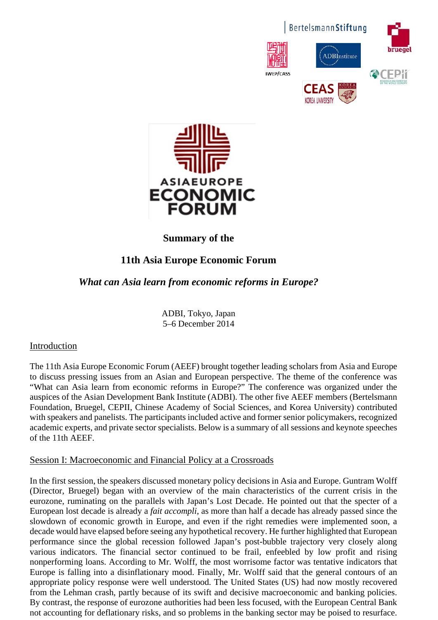



## **Summary of the**

# **11th Asia Europe Economic Forum**

## *What can Asia learn from economic reforms in Europe?*

ADBI, Tokyo, Japan 5–6 December 2014

### Introduction

The 11th Asia Europe Economic Forum (AEEF) brought together leading scholars from Asia and Europe to discuss pressing issues from an Asian and European perspective. The theme of the conference was "What can Asia learn from economic reforms in Europe?" The conference was organized under the auspices of the Asian Development Bank Institute (ADBI). The other five AEEF members (Bertelsmann Foundation, Bruegel, CEPII, Chinese Academy of Social Sciences, and Korea University) contributed with speakers and panelists. The participants included active and former senior policymakers, recognized academic experts, and private sector specialists. Below is a summary of all sessions and keynote speeches of the 11th AEEF.

### Session I: Macroeconomic and Financial Policy at a Crossroads

In the first session, the speakers discussed monetary policy decisions in Asia and Europe. Guntram Wolff (Director, Bruegel) began with an overview of the main characteristics of the current crisis in the eurozone, ruminating on the parallels with Japan's Lost Decade. He pointed out that the specter of a European lost decade is already a *fait accompli*, as more than half a decade has already passed since the slowdown of economic growth in Europe, and even if the right remedies were implemented soon, a decade would have elapsed before seeing any hypothetical recovery. He further highlighted that European performance since the global recession followed Japan's post-bubble trajectory very closely along various indicators. The financial sector continued to be frail, enfeebled by low profit and rising nonperforming loans. According to Mr. Wolff, the most worrisome factor was tentative indicators that Europe is falling into a disinflationary mood. Finally, Mr. Wolff said that the general contours of an appropriate policy response were well understood. The United States (US) had now mostly recovered from the Lehman crash, partly because of its swift and decisive macroeconomic and banking policies. By contrast, the response of eurozone authorities had been less focused, with the European Central Bank not accounting for deflationary risks, and so problems in the banking sector may be poised to resurface.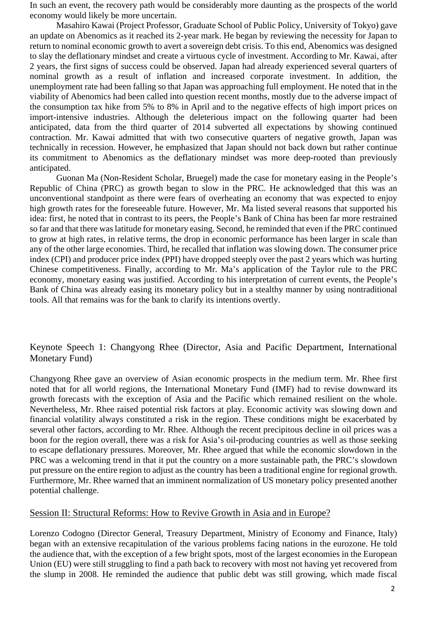In such an event, the recovery path would be considerably more daunting as the prospects of the world economy would likely be more uncertain.

Masahiro Kawai (Project Professor, Graduate School of Public Policy, University of Tokyo) gave an update on Abenomics as it reached its 2-year mark. He began by reviewing the necessity for Japan to return to nominal economic growth to avert a sovereign debt crisis. To this end, Abenomics was designed to slay the deflationary mindset and create a virtuous cycle of investment. According to Mr. Kawai, after 2 years, the first signs of success could be observed. Japan had already experienced several quarters of nominal growth as a result of inflation and increased corporate investment. In addition, the unemployment rate had been falling so that Japan was approaching full employment. He noted that in the viability of Abenomics had been called into question recent months, mostly due to the adverse impact of the consumption tax hike from 5% to 8% in April and to the negative effects of high import prices on import-intensive industries. Although the deleterious impact on the following quarter had been anticipated, data from the third quarter of 2014 subverted all expectations by showing continued contraction. Mr. Kawai admitted that with two consecutive quarters of negative growth, Japan was technically in recession. However, he emphasized that Japan should not back down but rather continue its commitment to Abenomics as the deflationary mindset was more deep-rooted than previously anticipated.

Guonan Ma (Non-Resident Scholar, Bruegel) made the case for monetary easing in the People's Republic of China (PRC) as growth began to slow in the PRC. He acknowledged that this was an unconventional standpoint as there were fears of overheating an economy that was expected to enjoy high growth rates for the foreseeable future. However, Mr. Ma listed several reasons that supported his idea: first, he noted that in contrast to its peers, the People's Bank of China has been far more restrained so far and that there was latitude for monetary easing. Second, he reminded that even if the PRC continued to grow at high rates, in relative terms, the drop in economic performance has been larger in scale than any of the other large economies. Third, he recalled that inflation was slowing down. The consumer price index (CPI) and producer price index (PPI) have dropped steeply over the past 2 years which was hurting Chinese competitiveness. Finally, according to Mr. Ma's application of the Taylor rule to the PRC economy, monetary easing was justified. According to his interpretation of current events, the People's Bank of China was already easing its monetary policy but in a stealthy manner by using nontraditional tools. All that remains was for the bank to clarify its intentions overtly.

#### Keynote Speech 1: Changyong Rhee (Director, Asia and Pacific Department, International Monetary Fund)

Changyong Rhee gave an overview of Asian economic prospects in the medium term. Mr. Rhee first noted that for all world regions, the International Monetary Fund (IMF) had to revise downward its growth forecasts with the exception of Asia and the Pacific which remained resilient on the whole. Nevertheless, Mr. Rhee raised potential risk factors at play. Economic activity was slowing down and financial volatility always constituted a risk in the region. These conditions might be exacerbated by several other factors, according to Mr. Rhee. Although the recent precipitous decline in oil prices was a boon for the region overall, there was a risk for Asia's oil-producing countries as well as those seeking to escape deflationary pressures. Moreover, Mr. Rhee argued that while the economic slowdown in the PRC was a welcoming trend in that it put the country on a more sustainable path, the PRC's slowdown put pressure on the entire region to adjust as the country has been a traditional engine for regional growth. Furthermore, Mr. Rhee warned that an imminent normalization of US monetary policy presented another potential challenge.

#### Session II: Structural Reforms: How to Revive Growth in Asia and in Europe?

Lorenzo Codogno (Director General, Treasury Department, Ministry of Economy and Finance, Italy) began with an extensive recapitulation of the various problems facing nations in the eurozone. He told the audience that, with the exception of a few bright spots, most of the largest economies in the European Union (EU) were still struggling to find a path back to recovery with most not having yet recovered from the slump in 2008. He reminded the audience that public debt was still growing, which made fiscal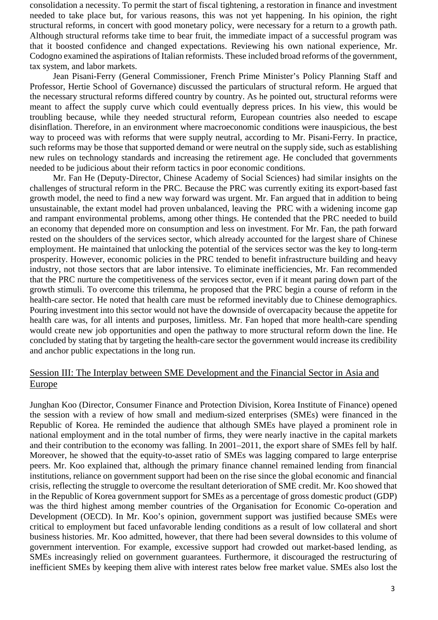consolidation a necessity. To permit the start of fiscal tightening, a restoration in finance and investment needed to take place but, for various reasons, this was not yet happening. In his opinion, the right structural reforms, in concert with good monetary policy, were necessary for a return to a growth path. Although structural reforms take time to bear fruit, the immediate impact of a successful program was that it boosted confidence and changed expectations. Reviewing his own national experience, Mr. Codogno examined the aspirations of Italian reformists. These included broad reforms of the government, tax system, and labor markets.

Jean Pisani-Ferry (General Commissioner, French Prime Minister's Policy Planning Staff and Professor, Hertie School of Governance) discussed the particulars of structural reform. He argued that the necessary structural reforms differed country by country. As he pointed out, structural reforms were meant to affect the supply curve which could eventually depress prices. In his view, this would be troubling because, while they needed structural reform, European countries also needed to escape disinflation. Therefore, in an environment where macroeconomic conditions were inauspicious, the best way to proceed was with reforms that were supply neutral, according to Mr. Pisani-Ferry. In practice, such reforms may be those that supported demand or were neutral on the supply side, such as establishing new rules on technology standards and increasing the retirement age. He concluded that governments needed to be judicious about their reform tactics in poor economic conditions.

Mr. Fan He (Deputy-Director, Chinese Academy of Social Sciences) had similar insights on the challenges of structural reform in the PRC. Because the PRC was currently exiting its export-based fast growth model, the need to find a new way forward was urgent. Mr. Fan argued that in addition to being unsustainable, the extant model had proven unbalanced, leaving the PRC with a widening income gap and rampant environmental problems, among other things. He contended that the PRC needed to build an economy that depended more on consumption and less on investment. For Mr. Fan, the path forward rested on the shoulders of the services sector, which already accounted for the largest share of Chinese employment. He maintained that unlocking the potential of the services sector was the key to long-term prosperity. However, economic policies in the PRC tended to benefit infrastructure building and heavy industry, not those sectors that are labor intensive. To eliminate inefficiencies, Mr. Fan recommended that the PRC nurture the competitiveness of the services sector, even if it meant paring down part of the growth stimuli. To overcome this trilemma, he proposed that the PRC begin a course of reform in the health-care sector. He noted that health care must be reformed inevitably due to Chinese demographics. Pouring investment into this sector would not have the downside of overcapacity because the appetite for health care was, for all intents and purposes, limitless. Mr. Fan hoped that more health-care spending would create new job opportunities and open the pathway to more structural reform down the line. He concluded by stating that by targeting the health-care sector the government would increase its credibility and anchor public expectations in the long run.

### Session III: The Interplay between SME Development and the Financial Sector in Asia and Europe

Junghan Koo (Director, Consumer Finance and Protection Division, Korea Institute of Finance) opened the session with a review of how small and medium-sized enterprises (SMEs) were financed in the Republic of Korea. He reminded the audience that although SMEs have played a prominent role in national employment and in the total number of firms, they were nearly inactive in the capital markets and their contribution to the economy was falling. In 2001–2011, the export share of SMEs fell by half. Moreover, he showed that the equity-to-asset ratio of SMEs was lagging compared to large enterprise peers. Mr. Koo explained that, although the primary finance channel remained lending from financial institutions, reliance on government support had been on the rise since the global economic and financial crisis, reflecting the struggle to overcome the resultant deterioration of SME credit. Mr. Koo showed that in the Republic of Korea government support for SMEs as a percentage of gross domestic product (GDP) was the third highest among member countries of the Organisation for Economic Co-operation and Development (OECD). In Mr. Koo's opinion, government support was justified because SMEs were critical to employment but faced unfavorable lending conditions as a result of low collateral and short business histories. Mr. Koo admitted, however, that there had been several downsides to this volume of government intervention. For example, excessive support had crowded out market-based lending, as SMEs increasingly relied on government guarantees. Furthermore, it discouraged the restructuring of inefficient SMEs by keeping them alive with interest rates below free market value. SMEs also lost the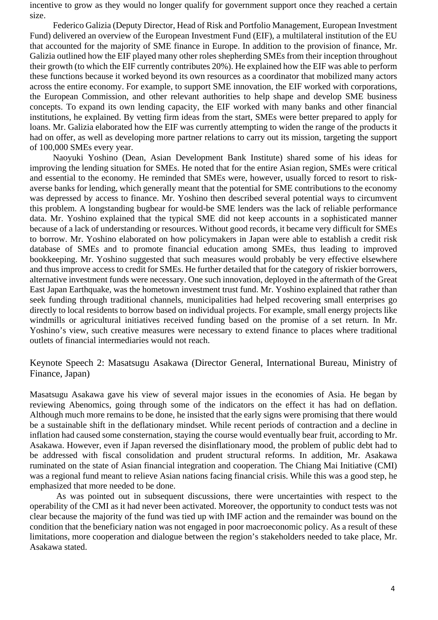incentive to grow as they would no longer qualify for government support once they reached a certain size.

Federico Galizia (Deputy Director, Head of Risk and Portfolio Management, European Investment Fund) delivered an overview of the European Investment Fund (EIF), a multilateral institution of the EU that accounted for the majority of SME finance in Europe. In addition to the provision of finance, Mr. Galizia outlined how the EIF played many other roles shepherding SMEs from their inception throughout their growth (to which the EIF currently contributes 20%). He explained how the EIF was able to perform these functions because it worked beyond its own resources as a coordinator that mobilized many actors across the entire economy. For example, to support SME innovation, the EIF worked with corporations, the European Commission, and other relevant authorities to help shape and develop SME business concepts. To expand its own lending capacity, the EIF worked with many banks and other financial institutions, he explained. By vetting firm ideas from the start, SMEs were better prepared to apply for loans. Mr. Galizia elaborated how the EIF was currently attempting to widen the range of the products it had on offer, as well as developing more partner relations to carry out its mission, targeting the support of 100,000 SMEs every year.

Naoyuki Yoshino (Dean, Asian Development Bank Institute) shared some of his ideas for improving the lending situation for SMEs. He noted that for the entire Asian region, SMEs were critical and essential to the economy. He reminded that SMEs were, however, usually forced to resort to riskaverse banks for lending, which generally meant that the potential for SME contributions to the economy was depressed by access to finance. Mr. Yoshino then described several potential ways to circumvent this problem. A longstanding bugbear for would-be SME lenders was the lack of reliable performance data. Mr. Yoshino explained that the typical SME did not keep accounts in a sophisticated manner because of a lack of understanding or resources. Without good records, it became very difficult for SMEs to borrow. Mr. Yoshino elaborated on how policymakers in Japan were able to establish a credit risk database of SMEs and to promote financial education among SMEs, thus leading to improved bookkeeping. Mr. Yoshino suggested that such measures would probably be very effective elsewhere and thus improve access to credit for SMEs. He further detailed that for the category of riskier borrowers, alternative investment funds were necessary. One such innovation, deployed in the aftermath of the Great East Japan Earthquake, was the hometown investment trust fund. Mr. Yoshino explained that rather than seek funding through traditional channels, municipalities had helped recovering small enterprises go directly to local residents to borrow based on individual projects. For example, small energy projects like windmills or agricultural initiatives received funding based on the promise of a set return. In Mr. Yoshino's view, such creative measures were necessary to extend finance to places where traditional outlets of financial intermediaries would not reach.

Keynote Speech 2: Masatsugu Asakawa (Director General, International Bureau, Ministry of Finance, Japan)

Masatsugu Asakawa gave his view of several major issues in the economies of Asia. He began by reviewing Abenomics, going through some of the indicators on the effect it has had on deflation. Although much more remains to be done, he insisted that the early signs were promising that there would be a sustainable shift in the deflationary mindset. While recent periods of contraction and a decline in inflation had caused some consternation, staying the course would eventually bear fruit, according to Mr. Asakawa. However, even if Japan reversed the disinflationary mood, the problem of public debt had to be addressed with fiscal consolidation and prudent structural reforms. In addition, Mr. Asakawa ruminated on the state of Asian financial integration and cooperation. The Chiang Mai Initiative (CMI) was a regional fund meant to relieve Asian nations facing financial crisis. While this was a good step, he emphasized that more needed to be done.

As was pointed out in subsequent discussions, there were uncertainties with respect to the operability of the CMI as it had never been activated. Moreover, the opportunity to conduct tests was not clear because the majority of the fund was tied up with IMF action and the remainder was bound on the condition that the beneficiary nation was not engaged in poor macroeconomic policy. As a result of these limitations, more cooperation and dialogue between the region's stakeholders needed to take place, Mr. Asakawa stated.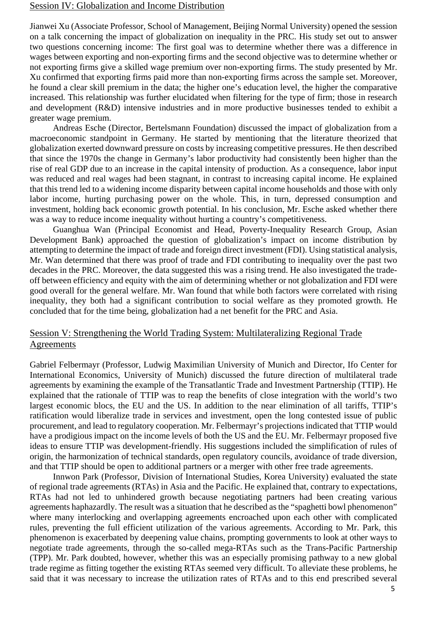#### Session IV: Globalization and Income Distribution

Jianwei Xu (Associate Professor, School of Management, Beijing Normal University) opened the session on a talk concerning the impact of globalization on inequality in the PRC. His study set out to answer two questions concerning income: The first goal was to determine whether there was a difference in wages between exporting and non-exporting firms and the second objective was to determine whether or not exporting firms give a skilled wage premium over non-exporting firms. The study presented by Mr. Xu confirmed that exporting firms paid more than non-exporting firms across the sample set. Moreover, he found a clear skill premium in the data; the higher one's education level, the higher the comparative increased. This relationship was further elucidated when filtering for the type of firm; those in research and development (R&D) intensive industries and in more productive businesses tended to exhibit a greater wage premium.

Andreas Esche (Director, Bertelsmann Foundation) discussed the impact of globalization from a macroeconomic standpoint in Germany. He started by mentioning that the literature theorized that globalization exerted downward pressure on costs by increasing competitive pressures. He then described that since the 1970s the change in Germany's labor productivity had consistently been higher than the rise of real GDP due to an increase in the capital intensity of production. As a consequence, labor input was reduced and real wages had been stagnant, in contrast to increasing capital income. He explained that this trend led to a widening income disparity between capital income households and those with only labor income, hurting purchasing power on the whole. This, in turn, depressed consumption and investment, holding back economic growth potential. In his conclusion, Mr. Esche asked whether there was a way to reduce income inequality without hurting a country's competitiveness.

Guanghua Wan (Principal Economist and Head, Poverty-Inequality Research Group, Asian Development Bank) approached the question of globalization's impact on income distribution by attempting to determine the impact of trade and foreign direct investment (FDI). Using statistical analysis, Mr. Wan determined that there was proof of trade and FDI contributing to inequality over the past two decades in the PRC. Moreover, the data suggested this was a rising trend. He also investigated the tradeoff between efficiency and equity with the aim of determining whether or not globalization and FDI were good overall for the general welfare. Mr. Wan found that while both factors were correlated with rising inequality, they both had a significant contribution to social welfare as they promoted growth. He concluded that for the time being, globalization had a net benefit for the PRC and Asia.

#### Session V: Strengthening the World Trading System: Multilateralizing Regional Trade Agreements

Gabriel Felbermayr (Professor, Ludwig Maximilian University of Munich and Director, Ifo Center for International Economics, University of Munich) discussed the future direction of multilateral trade agreements by examining the example of the Transatlantic Trade and Investment Partnership (TTIP). He explained that the rationale of TTIP was to reap the benefits of close integration with the world's two largest economic blocs, the EU and the US. In addition to the near elimination of all tariffs, TTIP's ratification would liberalize trade in services and investment, open the long contested issue of public procurement, and lead to regulatory cooperation. Mr. Felbermayr's projections indicated that TTIP would have a prodigious impact on the income levels of both the US and the EU. Mr. Felbermayr proposed five ideas to ensure TTIP was development-friendly. His suggestions included the simplification of rules of origin, the harmonization of technical standards, open regulatory councils, avoidance of trade diversion, and that TTIP should be open to additional partners or a merger with other free trade agreements.

Innwon Park (Professor, Division of International Studies, Korea University) evaluated the state of regional trade agreements (RTAs) in Asia and the Pacific. He explained that, contrary to expectations, RTAs had not led to unhindered growth because negotiating partners had been creating various agreements haphazardly. The result was a situation that he described as the "spaghetti bowl phenomenon" where many interlocking and overlapping agreements encroached upon each other with complicated rules, preventing the full efficient utilization of the various agreements. According to Mr. Park, this phenomenon is exacerbated by deepening value chains, prompting governments to look at other ways to negotiate trade agreements, through the so-called mega-RTAs such as the Trans-Pacific Partnership (TPP). Mr. Park doubted, however, whether this was an especially promising pathway to a new global trade regime as fitting together the existing RTAs seemed very difficult. To alleviate these problems, he said that it was necessary to increase the utilization rates of RTAs and to this end prescribed several